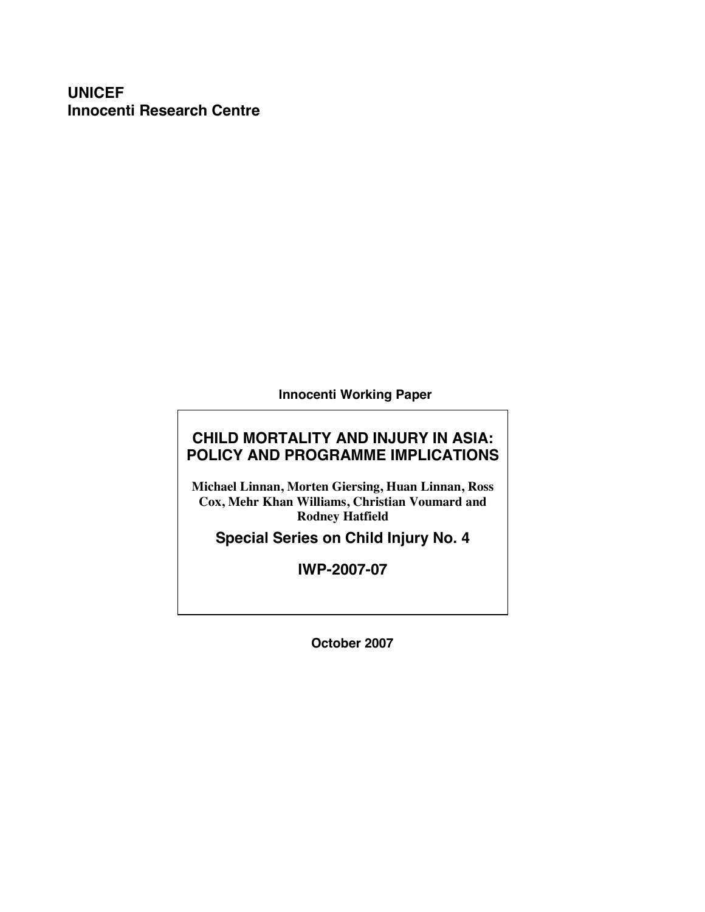# **UNICEF Innocenti Research Centre**

**Innocenti Working Paper** 

# **CHILD MORTALITY AND INJURY IN ASIA: POLICY AND PROGRAMME IMPLICATIONS**

**Michael Linnan, Morten Giersing, Huan Linnan, Ross Cox, Mehr Khan Williams, Christian Voumard and Rodney Hatfield** 

**Special Series on Child Injury No. 4** 

**IWP-2007-07** 

**October 2007**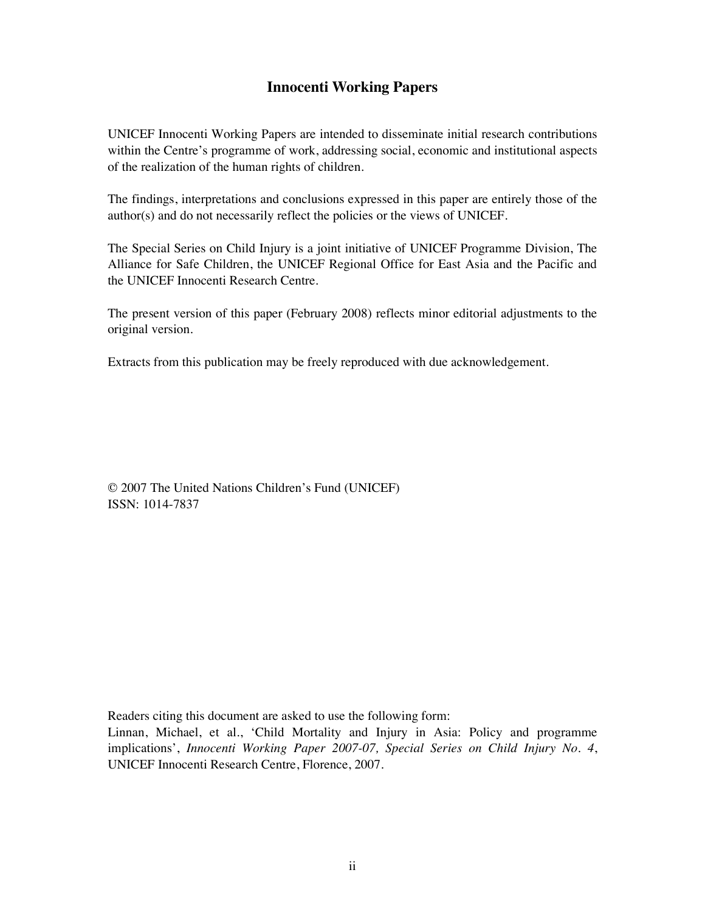# **Innocenti Working Papers**

UNICEF Innocenti Working Papers are intended to disseminate initial research contributions within the Centre's programme of work, addressing social, economic and institutional aspects of the realization of the human rights of children.

The findings, interpretations and conclusions expressed in this paper are entirely those of the author(s) and do not necessarily reflect the policies or the views of UNICEF.

The Special Series on Child Injury is a joint initiative of UNICEF Programme Division, The Alliance for Safe Children, the UNICEF Regional Office for East Asia and the Pacific and the UNICEF Innocenti Research Centre.

The present version of this paper (February 2008) reflects minor editorial adjustments to the original version.

Extracts from this publication may be freely reproduced with due acknowledgement.

© 2007 The United Nations Children's Fund (UNICEF) ISSN: 1014-7837

Readers citing this document are asked to use the following form:

Linnan, Michael, et al., 'Child Mortality and Injury in Asia: Policy and programme implications', *Innocenti Working Paper 2007-07, Special Series on Child Injury No. 4*, UNICEF Innocenti Research Centre, Florence, 2007.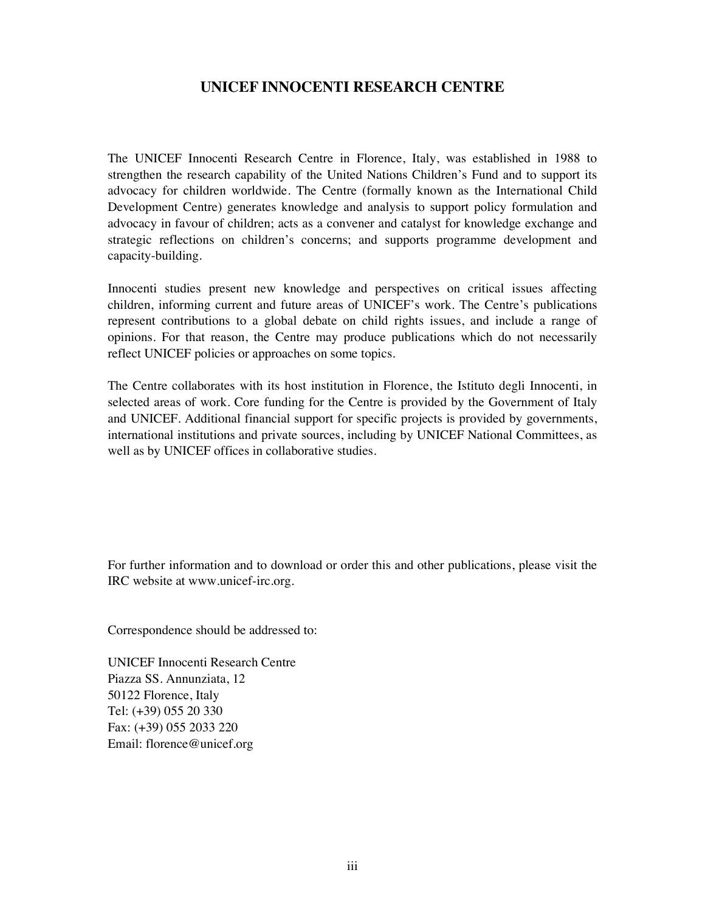## **UNICEF INNOCENTI RESEARCH CENTRE**

The UNICEF Innocenti Research Centre in Florence, Italy, was established in 1988 to strengthen the research capability of the United Nations Children's Fund and to support its advocacy for children worldwide. The Centre (formally known as the International Child Development Centre) generates knowledge and analysis to support policy formulation and advocacy in favour of children; acts as a convener and catalyst for knowledge exchange and strategic reflections on children's concerns; and supports programme development and capacity-building.

Innocenti studies present new knowledge and perspectives on critical issues affecting children, informing current and future areas of UNICEF's work. The Centre's publications represent contributions to a global debate on child rights issues, and include a range of opinions. For that reason, the Centre may produce publications which do not necessarily reflect UNICEF policies or approaches on some topics.

The Centre collaborates with its host institution in Florence, the Istituto degli Innocenti, in selected areas of work. Core funding for the Centre is provided by the Government of Italy and UNICEF. Additional financial support for specific projects is provided by governments, international institutions and private sources, including by UNICEF National Committees, as well as by UNICEF offices in collaborative studies.

For further information and to download or order this and other publications, please visit the IRC website at www.unicef-irc.org.

Correspondence should be addressed to:

UNICEF Innocenti Research Centre Piazza SS. Annunziata, 12 50122 Florence, Italy Tel: (+39) 055 20 330 Fax: (+39) 055 2033 220 Email: florence@unicef.org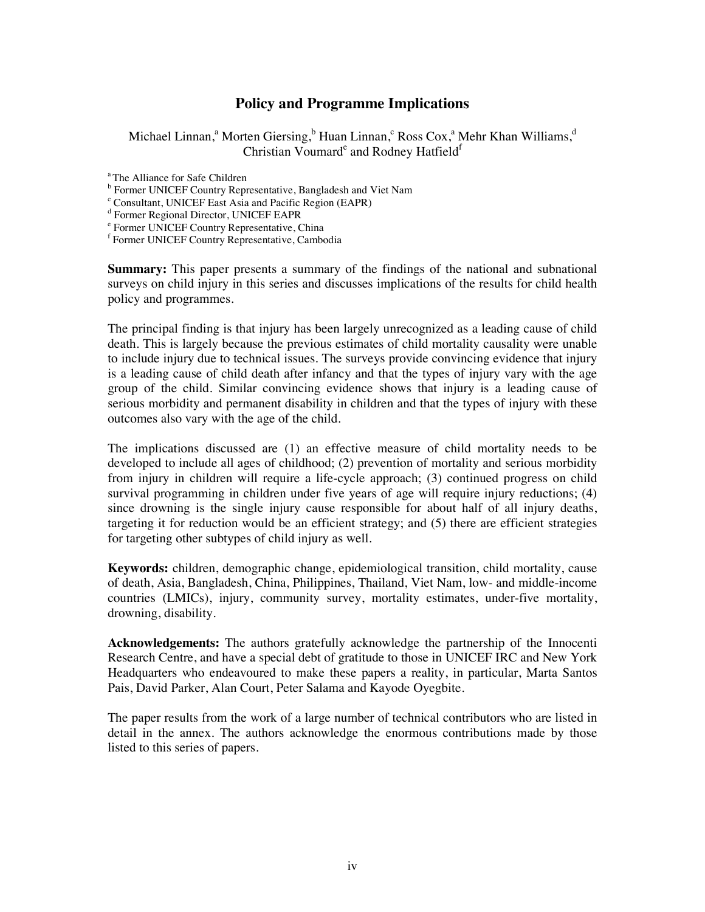## **Policy and Programme Implications**

Michael Linnan,<sup>a</sup> Morten Giersing,<sup>b</sup> Huan Linnan,<sup>c</sup> Ross Cox,<sup>a</sup> Mehr Khan Williams,<sup>d</sup> Christian Voumarde and Rodney Hatfield<sup>f</sup>

<sup>a</sup> The Alliance for Safe Children

<sup>b</sup> Former UNICEF Country Representative, Bangladesh and Viet Nam  $\frac{c}{d}$  Consultant, UNICEF Fast Asia and Pasifia Bazian (EADP)

Consultant, UNICEF East Asia and Pacific Region (EAPR)

d Former Regional Director, UNICEF EAPR

e Former UNICEF Country Representative, China

f Former UNICEF Country Representative, Cambodia

**Summary:** This paper presents a summary of the findings of the national and subnational surveys on child injury in this series and discusses implications of the results for child health policy and programmes.

The principal finding is that injury has been largely unrecognized as a leading cause of child death. This is largely because the previous estimates of child mortality causality were unable to include injury due to technical issues. The surveys provide convincing evidence that injury is a leading cause of child death after infancy and that the types of injury vary with the age group of the child. Similar convincing evidence shows that injury is a leading cause of serious morbidity and permanent disability in children and that the types of injury with these outcomes also vary with the age of the child.

The implications discussed are (1) an effective measure of child mortality needs to be developed to include all ages of childhood; (2) prevention of mortality and serious morbidity from injury in children will require a life-cycle approach; (3) continued progress on child survival programming in children under five years of age will require injury reductions; (4) since drowning is the single injury cause responsible for about half of all injury deaths, targeting it for reduction would be an efficient strategy; and (5) there are efficient strategies for targeting other subtypes of child injury as well.

**Keywords:** children, demographic change, epidemiological transition, child mortality, cause of death, Asia, Bangladesh, China, Philippines, Thailand, Viet Nam, low- and middle-income countries (LMICs), injury, community survey, mortality estimates, under-five mortality, drowning, disability.

**Acknowledgements:** The authors gratefully acknowledge the partnership of the Innocenti Research Centre, and have a special debt of gratitude to those in UNICEF IRC and New York Headquarters who endeavoured to make these papers a reality, in particular, Marta Santos Pais, David Parker, Alan Court, Peter Salama and Kayode Oyegbite.

The paper results from the work of a large number of technical contributors who are listed in detail in the annex. The authors acknowledge the enormous contributions made by those listed to this series of papers.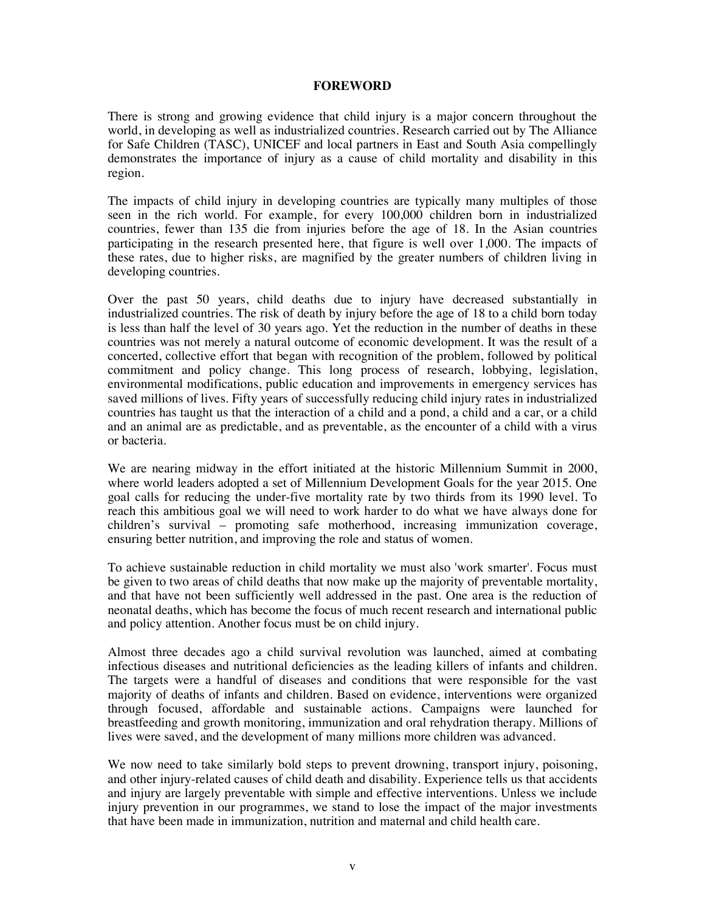#### **FOREWORD**

There is strong and growing evidence that child injury is a major concern throughout the world, in developing as well as industrialized countries. Research carried out by The Alliance for Safe Children (TASC), UNICEF and local partners in East and South Asia compellingly demonstrates the importance of injury as a cause of child mortality and disability in this region.

The impacts of child injury in developing countries are typically many multiples of those seen in the rich world. For example, for every 100,000 children born in industrialized countries, fewer than 135 die from injuries before the age of 18. In the Asian countries participating in the research presented here, that figure is well over 1,000. The impacts of these rates, due to higher risks, are magnified by the greater numbers of children living in developing countries.

Over the past 50 years, child deaths due to injury have decreased substantially in industrialized countries. The risk of death by injury before the age of 18 to a child born today is less than half the level of 30 years ago. Yet the reduction in the number of deaths in these countries was not merely a natural outcome of economic development. It was the result of a concerted, collective effort that began with recognition of the problem, followed by political commitment and policy change. This long process of research, lobbying, legislation, environmental modifications, public education and improvements in emergency services has saved millions of lives. Fifty years of successfully reducing child injury rates in industrialized countries has taught us that the interaction of a child and a pond, a child and a car, or a child and an animal are as predictable, and as preventable, as the encounter of a child with a virus or bacteria.

We are nearing midway in the effort initiated at the historic Millennium Summit in 2000, where world leaders adopted a set of Millennium Development Goals for the year 2015. One goal calls for reducing the under-five mortality rate by two thirds from its 1990 level. To reach this ambitious goal we will need to work harder to do what we have always done for children's survival – promoting safe motherhood, increasing immunization coverage, ensuring better nutrition, and improving the role and status of women.

To achieve sustainable reduction in child mortality we must also 'work smarter'. Focus must be given to two areas of child deaths that now make up the majority of preventable mortality, and that have not been sufficiently well addressed in the past. One area is the reduction of neonatal deaths, which has become the focus of much recent research and international public and policy attention. Another focus must be on child injury.

Almost three decades ago a child survival revolution was launched, aimed at combating infectious diseases and nutritional deficiencies as the leading killers of infants and children. The targets were a handful of diseases and conditions that were responsible for the vast majority of deaths of infants and children. Based on evidence, interventions were organized through focused, affordable and sustainable actions. Campaigns were launched for breastfeeding and growth monitoring, immunization and oral rehydration therapy. Millions of lives were saved, and the development of many millions more children was advanced.

We now need to take similarly bold steps to prevent drowning, transport injury, poisoning, and other injury-related causes of child death and disability. Experience tells us that accidents and injury are largely preventable with simple and effective interventions. Unless we include injury prevention in our programmes, we stand to lose the impact of the major investments that have been made in immunization, nutrition and maternal and child health care.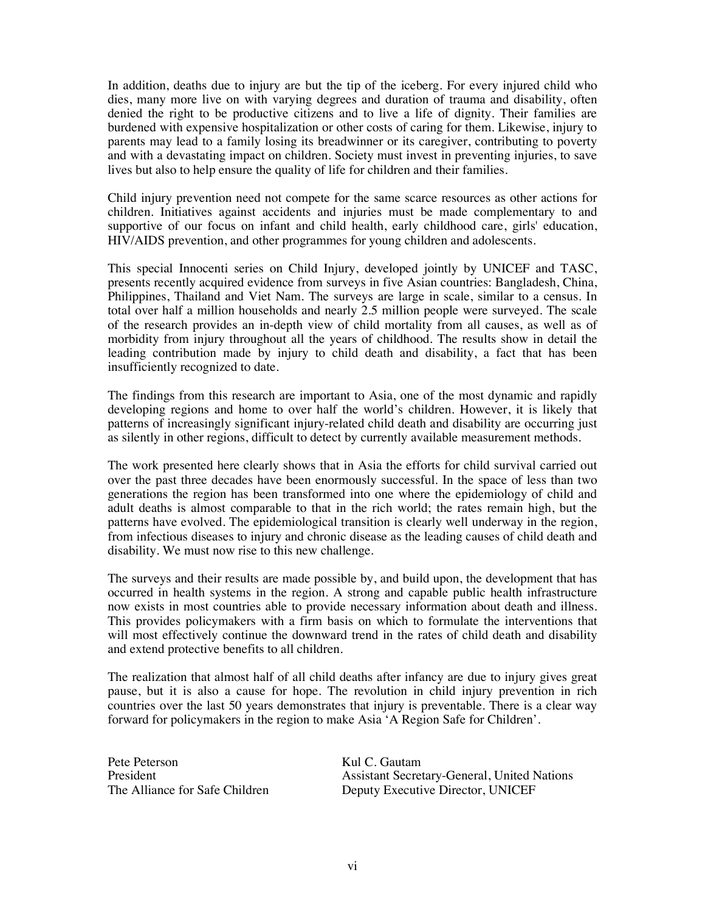In addition, deaths due to injury are but the tip of the iceberg. For every injured child who dies, many more live on with varying degrees and duration of trauma and disability, often denied the right to be productive citizens and to live a life of dignity. Their families are burdened with expensive hospitalization or other costs of caring for them. Likewise, injury to parents may lead to a family losing its breadwinner or its caregiver, contributing to poverty and with a devastating impact on children. Society must invest in preventing injuries, to save lives but also to help ensure the quality of life for children and their families.

Child injury prevention need not compete for the same scarce resources as other actions for children. Initiatives against accidents and injuries must be made complementary to and supportive of our focus on infant and child health, early childhood care, girls' education, HIV/AIDS prevention, and other programmes for young children and adolescents.

This special Innocenti series on Child Injury, developed jointly by UNICEF and TASC, presents recently acquired evidence from surveys in five Asian countries: Bangladesh, China, Philippines, Thailand and Viet Nam. The surveys are large in scale, similar to a census. In total over half a million households and nearly 2.5 million people were surveyed. The scale of the research provides an in-depth view of child mortality from all causes, as well as of morbidity from injury throughout all the years of childhood. The results show in detail the leading contribution made by injury to child death and disability, a fact that has been insufficiently recognized to date.

The findings from this research are important to Asia, one of the most dynamic and rapidly developing regions and home to over half the world's children. However, it is likely that patterns of increasingly significant injury-related child death and disability are occurring just as silently in other regions, difficult to detect by currently available measurement methods.

The work presented here clearly shows that in Asia the efforts for child survival carried out over the past three decades have been enormously successful. In the space of less than two generations the region has been transformed into one where the epidemiology of child and adult deaths is almost comparable to that in the rich world; the rates remain high, but the patterns have evolved. The epidemiological transition is clearly well underway in the region, from infectious diseases to injury and chronic disease as the leading causes of child death and disability. We must now rise to this new challenge.

The surveys and their results are made possible by, and build upon, the development that has occurred in health systems in the region. A strong and capable public health infrastructure now exists in most countries able to provide necessary information about death and illness. This provides policymakers with a firm basis on which to formulate the interventions that will most effectively continue the downward trend in the rates of child death and disability and extend protective benefits to all children.

The realization that almost half of all child deaths after infancy are due to injury gives great pause, but it is also a cause for hope. The revolution in child injury prevention in rich countries over the last 50 years demonstrates that injury is preventable. There is a clear way forward for policymakers in the region to make Asia 'A Region Safe for Children'.

Pete Peterson Kul C. Gautam

President Assistant Secretary-General, United Nations The Alliance for Safe Children Deputy Executive Director, UNICEF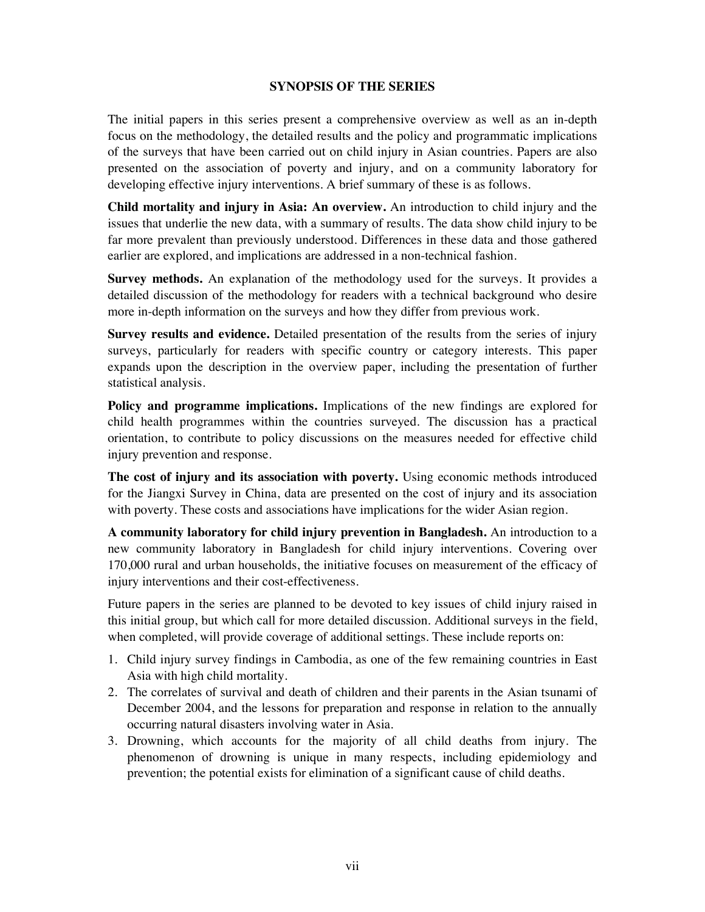#### **SYNOPSIS OF THE SERIES**

The initial papers in this series present a comprehensive overview as well as an in-depth focus on the methodology, the detailed results and the policy and programmatic implications of the surveys that have been carried out on child injury in Asian countries. Papers are also presented on the association of poverty and injury, and on a community laboratory for developing effective injury interventions. A brief summary of these is as follows.

**Child mortality and injury in Asia: An overview.** An introduction to child injury and the issues that underlie the new data, with a summary of results. The data show child injury to be far more prevalent than previously understood. Differences in these data and those gathered earlier are explored, and implications are addressed in a non-technical fashion.

**Survey methods.** An explanation of the methodology used for the surveys. It provides a detailed discussion of the methodology for readers with a technical background who desire more in-depth information on the surveys and how they differ from previous work.

**Survey results and evidence.** Detailed presentation of the results from the series of injury surveys, particularly for readers with specific country or category interests. This paper expands upon the description in the overview paper, including the presentation of further statistical analysis.

**Policy and programme implications.** Implications of the new findings are explored for child health programmes within the countries surveyed. The discussion has a practical orientation, to contribute to policy discussions on the measures needed for effective child injury prevention and response.

**The cost of injury and its association with poverty.** Using economic methods introduced for the Jiangxi Survey in China, data are presented on the cost of injury and its association with poverty. These costs and associations have implications for the wider Asian region.

**A community laboratory for child injury prevention in Bangladesh.** An introduction to a new community laboratory in Bangladesh for child injury interventions. Covering over 170,000 rural and urban households, the initiative focuses on measurement of the efficacy of injury interventions and their cost-effectiveness.

Future papers in the series are planned to be devoted to key issues of child injury raised in this initial group, but which call for more detailed discussion. Additional surveys in the field, when completed, will provide coverage of additional settings. These include reports on:

- 1. Child injury survey findings in Cambodia, as one of the few remaining countries in East Asia with high child mortality.
- 2. The correlates of survival and death of children and their parents in the Asian tsunami of December 2004, and the lessons for preparation and response in relation to the annually occurring natural disasters involving water in Asia.
- 3. Drowning, which accounts for the majority of all child deaths from injury. The phenomenon of drowning is unique in many respects, including epidemiology and prevention; the potential exists for elimination of a significant cause of child deaths.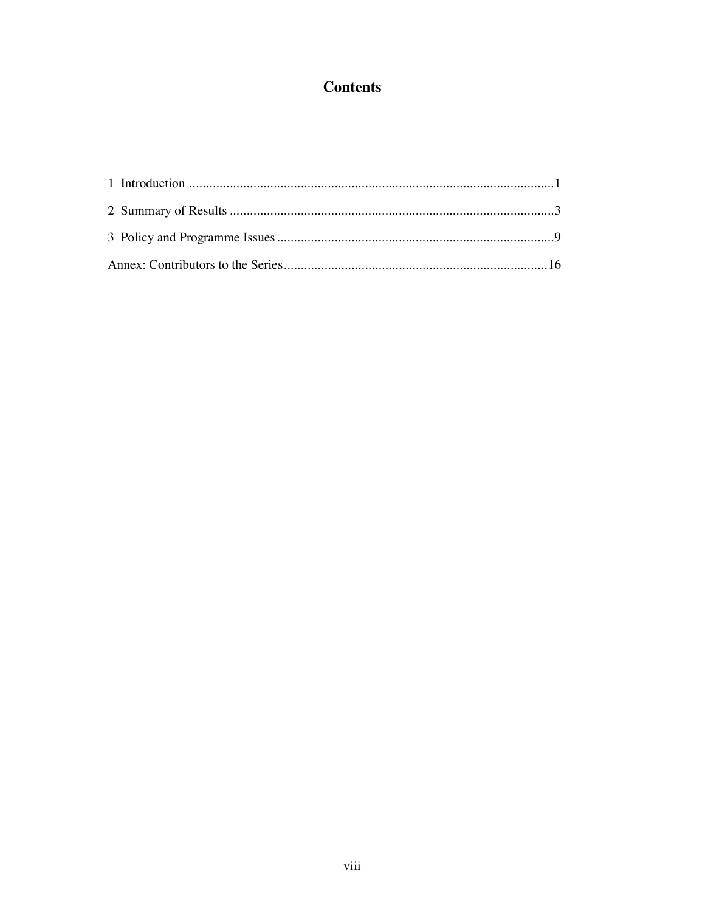# **Contents**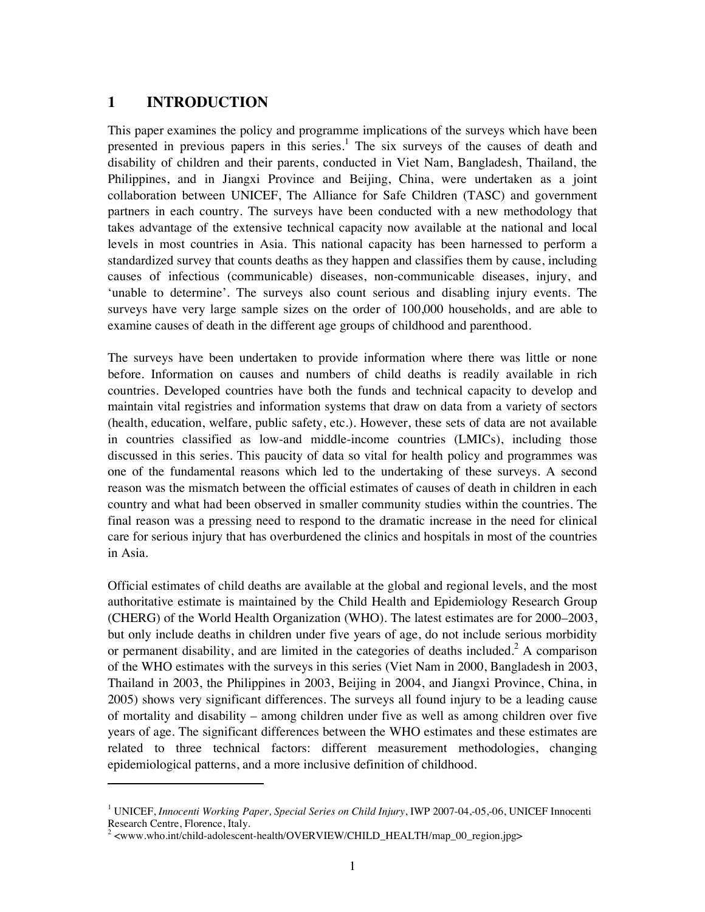## **1 INTRODUCTION**

 $\overline{a}$ 

This paper examines the policy and programme implications of the surveys which have been presented in previous papers in this series.<sup>1</sup> The six surveys of the causes of death and disability of children and their parents, conducted in Viet Nam, Bangladesh, Thailand, the Philippines, and in Jiangxi Province and Beijing, China, were undertaken as a joint collaboration between UNICEF, The Alliance for Safe Children (TASC) and government partners in each country. The surveys have been conducted with a new methodology that takes advantage of the extensive technical capacity now available at the national and local levels in most countries in Asia. This national capacity has been harnessed to perform a standardized survey that counts deaths as they happen and classifies them by cause, including causes of infectious (communicable) diseases, non-communicable diseases, injury, and 'unable to determine'. The surveys also count serious and disabling injury events. The surveys have very large sample sizes on the order of 100,000 households, and are able to examine causes of death in the different age groups of childhood and parenthood.

The surveys have been undertaken to provide information where there was little or none before. Information on causes and numbers of child deaths is readily available in rich countries. Developed countries have both the funds and technical capacity to develop and maintain vital registries and information systems that draw on data from a variety of sectors (health, education, welfare, public safety, etc.). However, these sets of data are not available in countries classified as low-and middle-income countries (LMICs), including those discussed in this series. This paucity of data so vital for health policy and programmes was one of the fundamental reasons which led to the undertaking of these surveys. A second reason was the mismatch between the official estimates of causes of death in children in each country and what had been observed in smaller community studies within the countries. The final reason was a pressing need to respond to the dramatic increase in the need for clinical care for serious injury that has overburdened the clinics and hospitals in most of the countries in Asia.

Official estimates of child deaths are available at the global and regional levels, and the most authoritative estimate is maintained by the Child Health and Epidemiology Research Group (CHERG) of the World Health Organization (WHO). The latest estimates are for 2000–2003, but only include deaths in children under five years of age, do not include serious morbidity or permanent disability, and are limited in the categories of deaths included.<sup>2</sup> A comparison of the WHO estimates with the surveys in this series (Viet Nam in 2000, Bangladesh in 2003, Thailand in 2003, the Philippines in 2003, Beijing in 2004, and Jiangxi Province, China, in 2005) shows very significant differences. The surveys all found injury to be a leading cause of mortality and disability – among children under five as well as among children over five years of age. The significant differences between the WHO estimates and these estimates are related to three technical factors: different measurement methodologies, changing epidemiological patterns, and a more inclusive definition of childhood.

<sup>&</sup>lt;sup>1</sup> UNICEF, *Innocenti Working Paper, Special Series on Child Injury*, IWP 2007-04,-05,-06, UNICEF Innocenti Research Centre, Florence, Italy.

<sup>2</sup> <www.who.int/child-adolescent-health/OVERVIEW/CHILD\_HEALTH/map\_00\_region.jpg>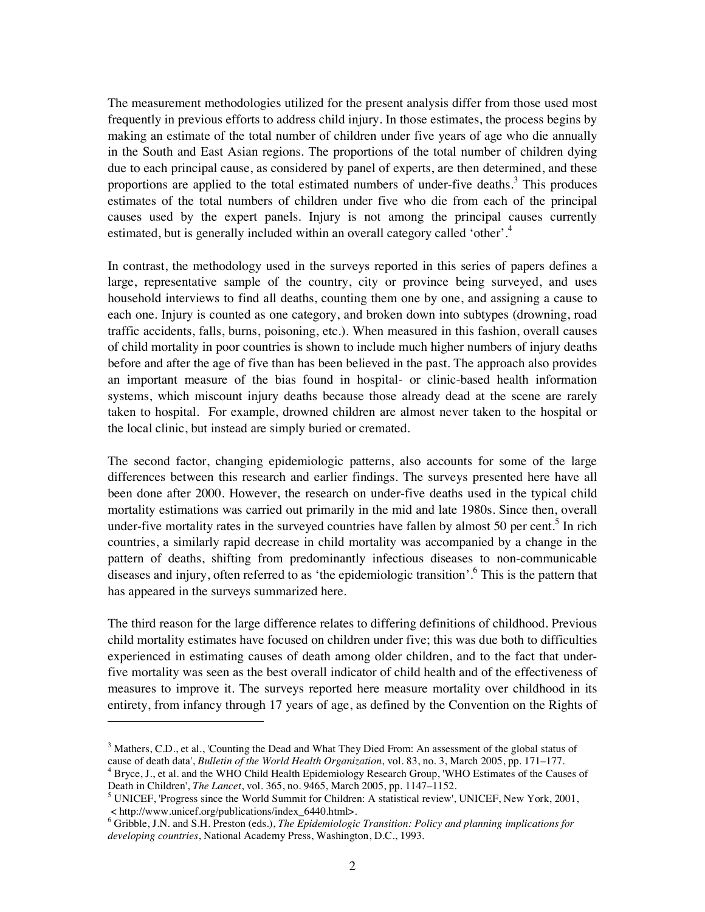The measurement methodologies utilized for the present analysis differ from those used most frequently in previous efforts to address child injury. In those estimates, the process begins by making an estimate of the total number of children under five years of age who die annually in the South and East Asian regions. The proportions of the total number of children dying due to each principal cause, as considered by panel of experts, are then determined, and these proportions are applied to the total estimated numbers of under-five deaths.<sup>3</sup> This produces estimates of the total numbers of children under five who die from each of the principal causes used by the expert panels. Injury is not among the principal causes currently estimated, but is generally included within an overall category called 'other'.<sup>4</sup>

In contrast, the methodology used in the surveys reported in this series of papers defines a large, representative sample of the country, city or province being surveyed, and uses household interviews to find all deaths, counting them one by one, and assigning a cause to each one. Injury is counted as one category, and broken down into subtypes (drowning, road traffic accidents, falls, burns, poisoning, etc.). When measured in this fashion, overall causes of child mortality in poor countries is shown to include much higher numbers of injury deaths before and after the age of five than has been believed in the past. The approach also provides an important measure of the bias found in hospital- or clinic-based health information systems, which miscount injury deaths because those already dead at the scene are rarely taken to hospital. For example, drowned children are almost never taken to the hospital or the local clinic, but instead are simply buried or cremated.

The second factor, changing epidemiologic patterns, also accounts for some of the large differences between this research and earlier findings. The surveys presented here have all been done after 2000. However, the research on under-five deaths used in the typical child mortality estimations was carried out primarily in the mid and late 1980s. Since then, overall under-five mortality rates in the surveyed countries have fallen by almost 50 per cent.<sup>5</sup> In rich countries, a similarly rapid decrease in child mortality was accompanied by a change in the pattern of deaths, shifting from predominantly infectious diseases to non-communicable diseases and injury, often referred to as 'the epidemiologic transition'.<sup>6</sup> This is the pattern that has appeared in the surveys summarized here.

The third reason for the large difference relates to differing definitions of childhood. Previous child mortality estimates have focused on children under five; this was due both to difficulties experienced in estimating causes of death among older children, and to the fact that underfive mortality was seen as the best overall indicator of child health and of the effectiveness of measures to improve it. The surveys reported here measure mortality over childhood in its entirety, from infancy through 17 years of age, as defined by the Convention on the Rights of

 $\overline{a}$ 

 $3$  Mathers, C.D., et al., 'Counting the Dead and What They Died From: An assessment of the global status of cause of death data', *Bulletin of the World Health Organization*, vol. 83, no. 3, March 2005, pp. 171–177. 4

 $4$  Bryce, J., et al. and the WHO Child Health Epidemiology Research Group, 'WHO Estimates of the Causes of Death in Children', *The Lancet*, vol. 365, no. 9465, March 2005, pp. 1147–1152. 5

<sup>&</sup>lt;sup>5</sup> UNICEF, 'Progress since the World Summit for Children: A statistical review', UNICEF, New York, 2001, < http://www.unicef.org/publications/index\_6440.html>.

<sup>6</sup> Gribble, J.N. and S.H. Preston (eds.), *The Epidemiologic Transition: Policy and planning implications for developing countries*, National Academy Press, Washington, D.C., 1993.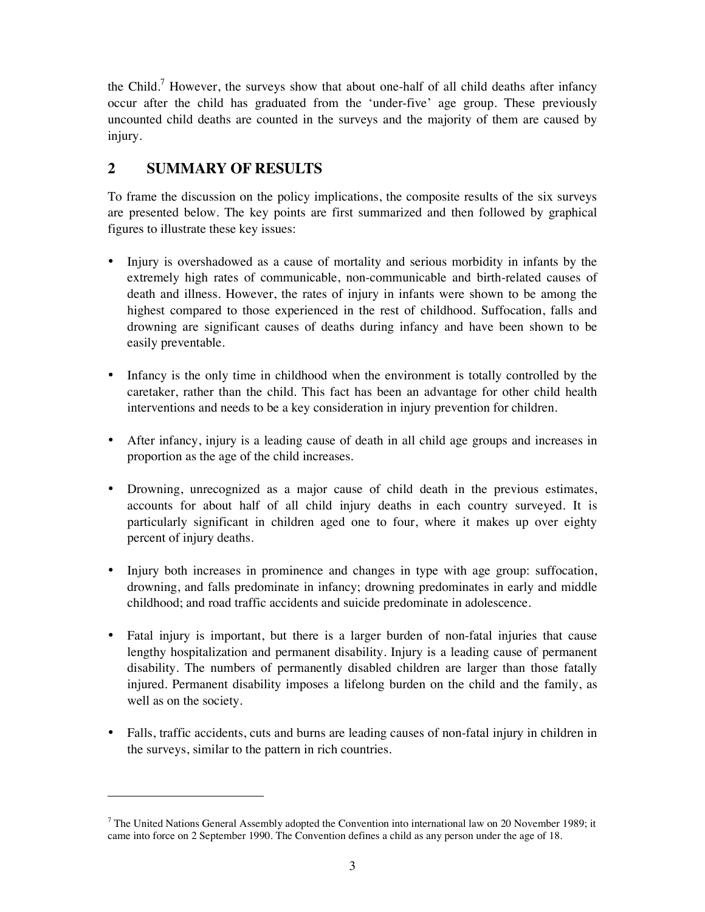the Child.<sup>7</sup> However, the surveys show that about one-half of all child deaths after infancy occur after the child has graduated from the 'under-five' age group. These previously uncounted child deaths are counted in the surveys and the majority of them are caused by injury.

# **2 SUMMARY OF RESULTS**

 $\overline{a}$ 

To frame the discussion on the policy implications, the composite results of the six surveys are presented below. The key points are first summarized and then followed by graphical figures to illustrate these key issues:

- Injury is overshadowed as a cause of mortality and serious morbidity in infants by the extremely high rates of communicable, non-communicable and birth-related causes of death and illness. However, the rates of injury in infants were shown to be among the highest compared to those experienced in the rest of childhood. Suffocation, falls and drowning are significant causes of deaths during infancy and have been shown to be easily preventable.
- Infancy is the only time in childhood when the environment is totally controlled by the caretaker, rather than the child. This fact has been an advantage for other child health interventions and needs to be a key consideration in injury prevention for children.
- After infancy, injury is a leading cause of death in all child age groups and increases in proportion as the age of the child increases.
- Drowning, unrecognized as a major cause of child death in the previous estimates, accounts for about half of all child injury deaths in each country surveyed. It is particularly significant in children aged one to four, where it makes up over eighty percent of injury deaths.
- Injury both increases in prominence and changes in type with age group: suffocation, drowning, and falls predominate in infancy; drowning predominates in early and middle childhood; and road traffic accidents and suicide predominate in adolescence.
- Fatal injury is important, but there is a larger burden of non-fatal injuries that cause lengthy hospitalization and permanent disability. Injury is a leading cause of permanent disability. The numbers of permanently disabled children are larger than those fatally injured. Permanent disability imposes a lifelong burden on the child and the family, as well as on the society.
- Falls, traffic accidents, cuts and burns are leading causes of non-fatal injury in children in the surveys, similar to the pattern in rich countries.

 $<sup>7</sup>$  The United Nations General Assembly adopted the Convention into international law on 20 November 1989; it</sup> came into force on 2 September 1990. The Convention defines a child as any person under the age of 18.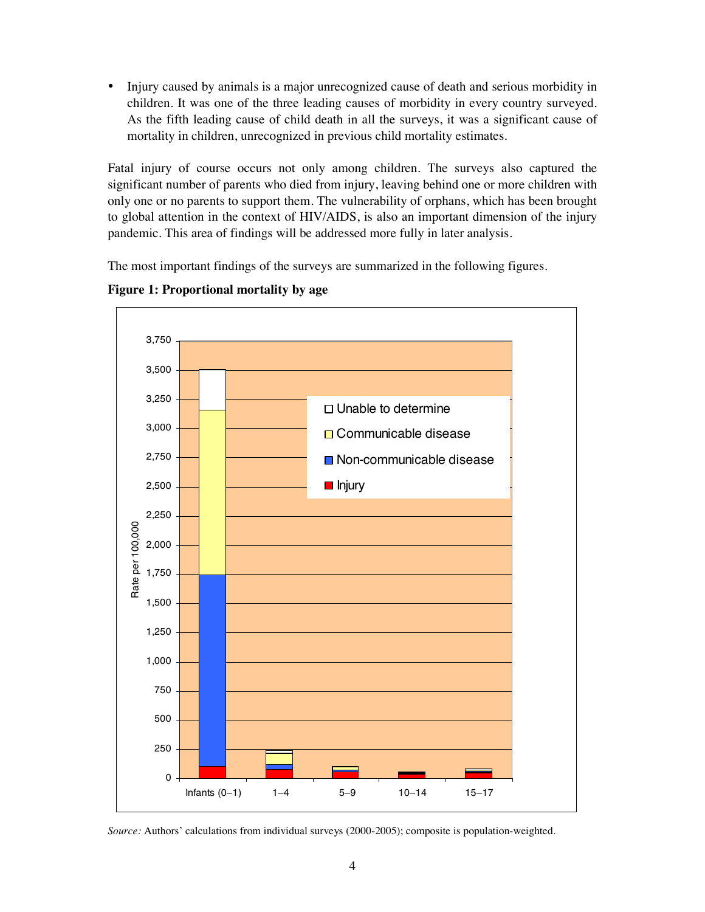• Injury caused by animals is a major unrecognized cause of death and serious morbidity in children. It was one of the three leading causes of morbidity in every country surveyed. As the fifth leading cause of child death in all the surveys, it was a significant cause of mortality in children, unrecognized in previous child mortality estimates.

Fatal injury of course occurs not only among children. The surveys also captured the significant number of parents who died from injury, leaving behind one or more children with only one or no parents to support them. The vulnerability of orphans, which has been brought to global attention in the context of HIV/AIDS, is also an important dimension of the injury pandemic. This area of findings will be addressed more fully in later analysis.

The most important findings of the surveys are summarized in the following figures.

**Figure 1: Proportional mortality by age** 



*Source:* Authors' calculations from individual surveys (2000-2005); composite is population-weighted*.*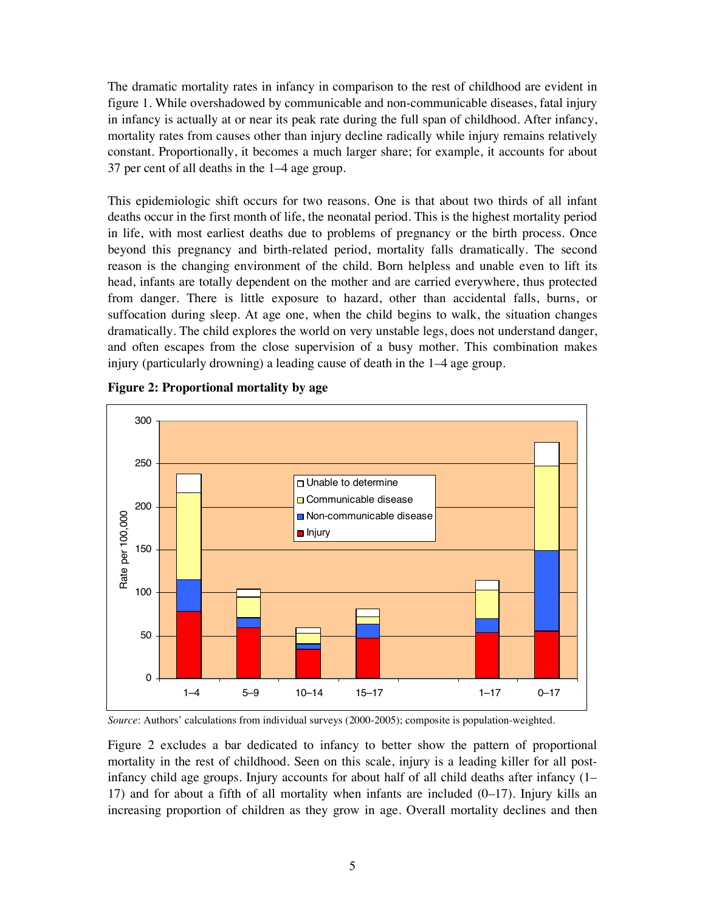The dramatic mortality rates in infancy in comparison to the rest of childhood are evident in figure 1. While overshadowed by communicable and non-communicable diseases, fatal injury in infancy is actually at or near its peak rate during the full span of childhood. After infancy, mortality rates from causes other than injury decline radically while injury remains relatively constant. Proportionally, it becomes a much larger share; for example, it accounts for about 37 per cent of all deaths in the 1–4 age group.

This epidemiologic shift occurs for two reasons. One is that about two thirds of all infant deaths occur in the first month of life, the neonatal period. This is the highest mortality period in life, with most earliest deaths due to problems of pregnancy or the birth process. Once beyond this pregnancy and birth-related period, mortality falls dramatically. The second reason is the changing environment of the child. Born helpless and unable even to lift its head, infants are totally dependent on the mother and are carried everywhere, thus protected from danger. There is little exposure to hazard, other than accidental falls, burns, or suffocation during sleep. At age one, when the child begins to walk, the situation changes dramatically. The child explores the world on very unstable legs, does not understand danger, and often escapes from the close supervision of a busy mother. This combination makes injury (particularly drowning) a leading cause of death in the 1–4 age group.



**Figure 2: Proportional mortality by age** 

*Source*: Authors' calculations from individual surveys (2000-2005); composite is population-weighted.

Figure 2 excludes a bar dedicated to infancy to better show the pattern of proportional mortality in the rest of childhood. Seen on this scale, injury is a leading killer for all postinfancy child age groups. Injury accounts for about half of all child deaths after infancy (1– 17) and for about a fifth of all mortality when infants are included  $(0-17)$ . Injury kills an increasing proportion of children as they grow in age. Overall mortality declines and then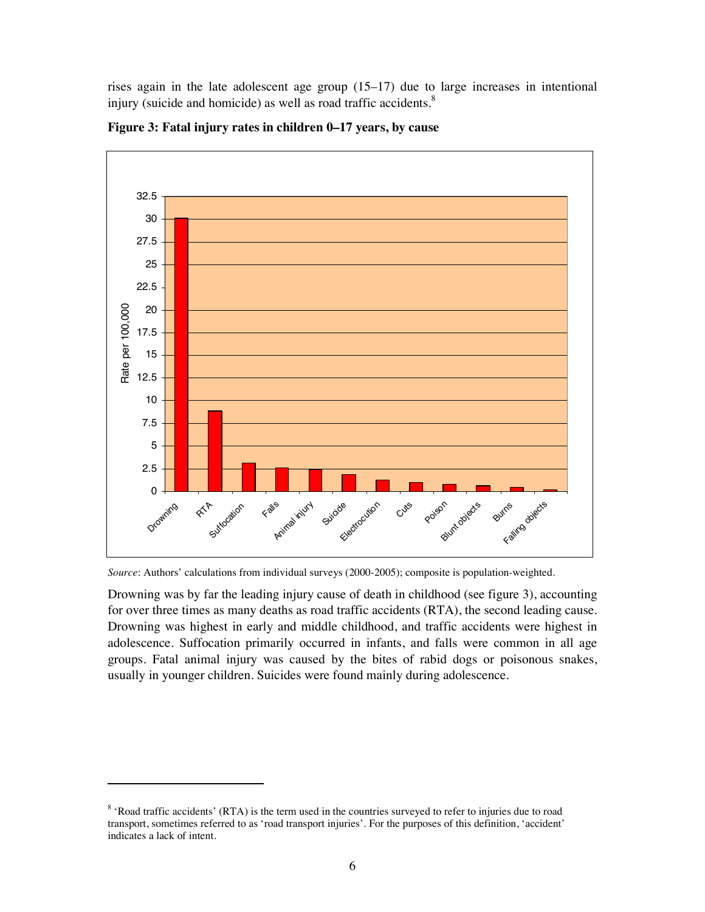rises again in the late adolescent age group (15–17) due to large increases in intentional injury (suicide and homicide) as well as road traffic accidents.<sup>8</sup>



**Figure 3: Fatal injury rates in children 0–17 years, by cause** 

Drowning was by far the leading injury cause of death in childhood (see figure 3), accounting for over three times as many deaths as road traffic accidents (RTA), the second leading cause. Drowning was highest in early and middle childhood, and traffic accidents were highest in adolescence. Suffocation primarily occurred in infants, and falls were common in all age groups. Fatal animal injury was caused by the bites of rabid dogs or poisonous snakes, usually in younger children. Suicides were found mainly during adolescence.

 $\overline{a}$ 

*Source*: Authors' calculations from individual surveys (2000-2005); composite is population-weighted.

<sup>&</sup>lt;sup>8</sup> 'Road traffic accidents' (RTA) is the term used in the countries surveyed to refer to injuries due to road transport, sometimes referred to as 'road transport injuries'. For the purposes of this definition, 'accident' indicates a lack of intent.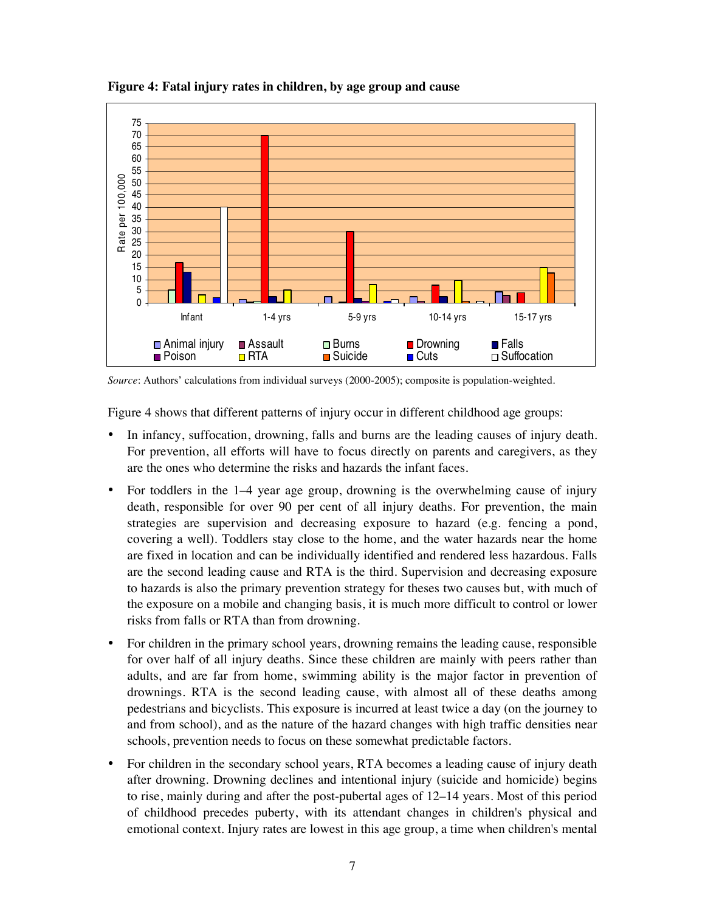

**Figure 4: Fatal injury rates in children, by age group and cause** 

*Source*: Authors' calculations from individual surveys (2000-2005); composite is population-weighted.

Figure 4 shows that different patterns of injury occur in different childhood age groups:

- In infancy, suffocation, drowning, falls and burns are the leading causes of injury death. For prevention, all efforts will have to focus directly on parents and caregivers, as they are the ones who determine the risks and hazards the infant faces.
- For toddlers in the 1–4 year age group, drowning is the overwhelming cause of injury death, responsible for over 90 per cent of all injury deaths. For prevention, the main strategies are supervision and decreasing exposure to hazard (e.g. fencing a pond, covering a well). Toddlers stay close to the home, and the water hazards near the home are fixed in location and can be individually identified and rendered less hazardous. Falls are the second leading cause and RTA is the third. Supervision and decreasing exposure to hazards is also the primary prevention strategy for theses two causes but, with much of the exposure on a mobile and changing basis, it is much more difficult to control or lower risks from falls or RTA than from drowning.
- For children in the primary school years, drowning remains the leading cause, responsible for over half of all injury deaths. Since these children are mainly with peers rather than adults, and are far from home, swimming ability is the major factor in prevention of drownings. RTA is the second leading cause, with almost all of these deaths among pedestrians and bicyclists. This exposure is incurred at least twice a day (on the journey to and from school), and as the nature of the hazard changes with high traffic densities near schools, prevention needs to focus on these somewhat predictable factors.
- For children in the secondary school years, RTA becomes a leading cause of injury death after drowning. Drowning declines and intentional injury (suicide and homicide) begins to rise, mainly during and after the post-pubertal ages of 12–14 years. Most of this period of childhood precedes puberty, with its attendant changes in children's physical and emotional context. Injury rates are lowest in this age group, a time when children's mental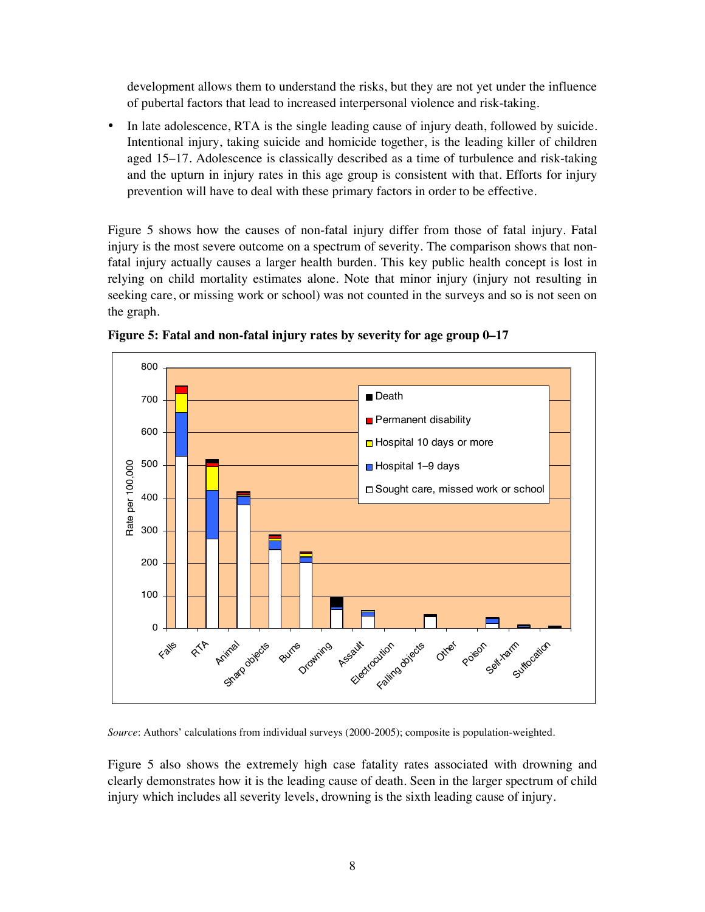development allows them to understand the risks, but they are not yet under the influence of pubertal factors that lead to increased interpersonal violence and risk-taking.

• In late adolescence, RTA is the single leading cause of injury death, followed by suicide. Intentional injury, taking suicide and homicide together, is the leading killer of children aged 15–17. Adolescence is classically described as a time of turbulence and risk-taking and the upturn in injury rates in this age group is consistent with that. Efforts for injury prevention will have to deal with these primary factors in order to be effective.

Figure 5 shows how the causes of non-fatal injury differ from those of fatal injury. Fatal injury is the most severe outcome on a spectrum of severity. The comparison shows that nonfatal injury actually causes a larger health burden. This key public health concept is lost in relying on child mortality estimates alone. Note that minor injury (injury not resulting in seeking care, or missing work or school) was not counted in the surveys and so is not seen on the graph.



**Figure 5: Fatal and non-fatal injury rates by severity for age group 0–17** 

*Source*: Authors' calculations from individual surveys (2000-2005); composite is population-weighted.

Figure 5 also shows the extremely high case fatality rates associated with drowning and clearly demonstrates how it is the leading cause of death. Seen in the larger spectrum of child injury which includes all severity levels, drowning is the sixth leading cause of injury.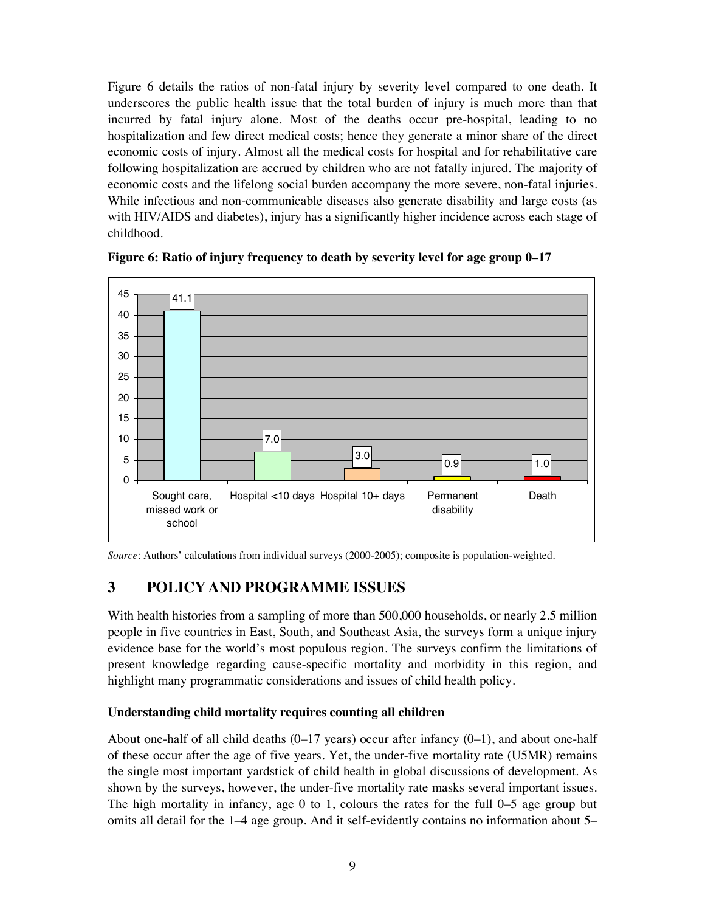Figure 6 details the ratios of non-fatal injury by severity level compared to one death. It underscores the public health issue that the total burden of injury is much more than that incurred by fatal injury alone. Most of the deaths occur pre-hospital, leading to no hospitalization and few direct medical costs; hence they generate a minor share of the direct economic costs of injury. Almost all the medical costs for hospital and for rehabilitative care following hospitalization are accrued by children who are not fatally injured. The majority of economic costs and the lifelong social burden accompany the more severe, non-fatal injuries. While infectious and non-communicable diseases also generate disability and large costs (as with HIV/AIDS and diabetes), injury has a significantly higher incidence across each stage of childhood.



**Figure 6: Ratio of injury frequency to death by severity level for age group 0–17**

*Source*: Authors' calculations from individual surveys (2000-2005); composite is population-weighted.

## **3 POLICY AND PROGRAMME ISSUES**

With health histories from a sampling of more than 500,000 households, or nearly 2.5 million people in five countries in East, South, and Southeast Asia, the surveys form a unique injury evidence base for the world's most populous region. The surveys confirm the limitations of present knowledge regarding cause-specific mortality and morbidity in this region, and highlight many programmatic considerations and issues of child health policy.

#### **Understanding child mortality requires counting all children**

About one-half of all child deaths  $(0-17 \text{ years})$  occur after infancy  $(0-1)$ , and about one-half of these occur after the age of five years. Yet, the under-five mortality rate (U5MR) remains the single most important yardstick of child health in global discussions of development. As shown by the surveys, however, the under-five mortality rate masks several important issues. The high mortality in infancy, age 0 to 1, colours the rates for the full 0–5 age group but omits all detail for the 1–4 age group. And it self-evidently contains no information about 5–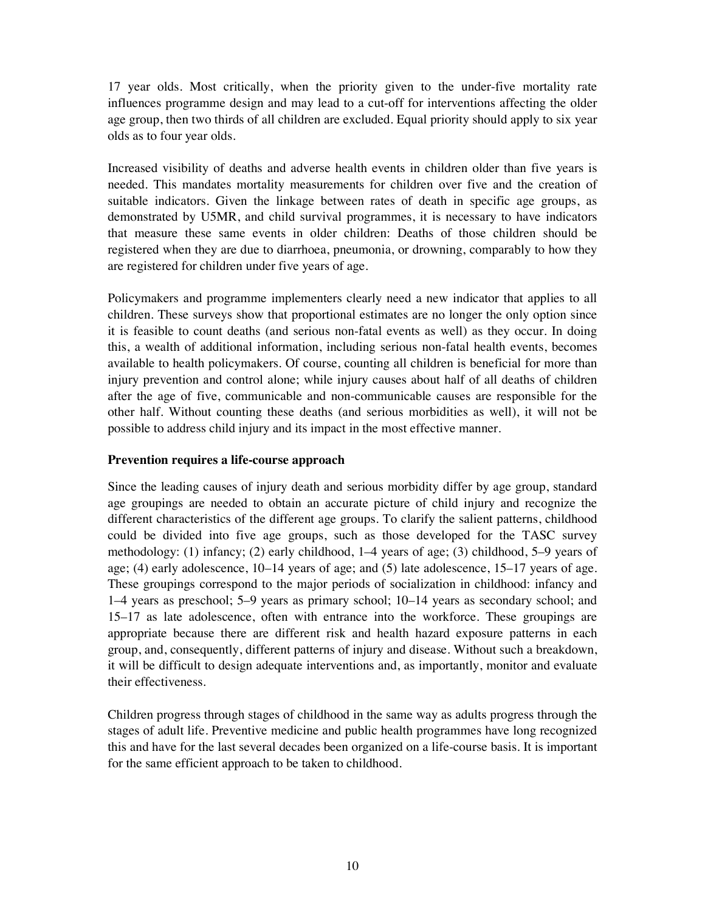17 year olds. Most critically, when the priority given to the under-five mortality rate influences programme design and may lead to a cut-off for interventions affecting the older age group, then two thirds of all children are excluded. Equal priority should apply to six year olds as to four year olds.

Increased visibility of deaths and adverse health events in children older than five years is needed. This mandates mortality measurements for children over five and the creation of suitable indicators. Given the linkage between rates of death in specific age groups, as demonstrated by U5MR, and child survival programmes, it is necessary to have indicators that measure these same events in older children: Deaths of those children should be registered when they are due to diarrhoea, pneumonia, or drowning, comparably to how they are registered for children under five years of age.

Policymakers and programme implementers clearly need a new indicator that applies to all children. These surveys show that proportional estimates are no longer the only option since it is feasible to count deaths (and serious non-fatal events as well) as they occur. In doing this, a wealth of additional information, including serious non-fatal health events, becomes available to health policymakers. Of course, counting all children is beneficial for more than injury prevention and control alone; while injury causes about half of all deaths of children after the age of five, communicable and non-communicable causes are responsible for the other half. Without counting these deaths (and serious morbidities as well), it will not be possible to address child injury and its impact in the most effective manner.

#### **Prevention requires a life-course approach**

Since the leading causes of injury death and serious morbidity differ by age group, standard age groupings are needed to obtain an accurate picture of child injury and recognize the different characteristics of the different age groups. To clarify the salient patterns, childhood could be divided into five age groups, such as those developed for the TASC survey methodology: (1) infancy; (2) early childhood, 1–4 years of age; (3) childhood, 5–9 years of age; (4) early adolescence, 10–14 years of age; and (5) late adolescence, 15–17 years of age. These groupings correspond to the major periods of socialization in childhood: infancy and 1–4 years as preschool; 5–9 years as primary school; 10–14 years as secondary school; and 15–17 as late adolescence, often with entrance into the workforce. These groupings are appropriate because there are different risk and health hazard exposure patterns in each group, and, consequently, different patterns of injury and disease. Without such a breakdown, it will be difficult to design adequate interventions and, as importantly, monitor and evaluate their effectiveness.

Children progress through stages of childhood in the same way as adults progress through the stages of adult life. Preventive medicine and public health programmes have long recognized this and have for the last several decades been organized on a life-course basis. It is important for the same efficient approach to be taken to childhood.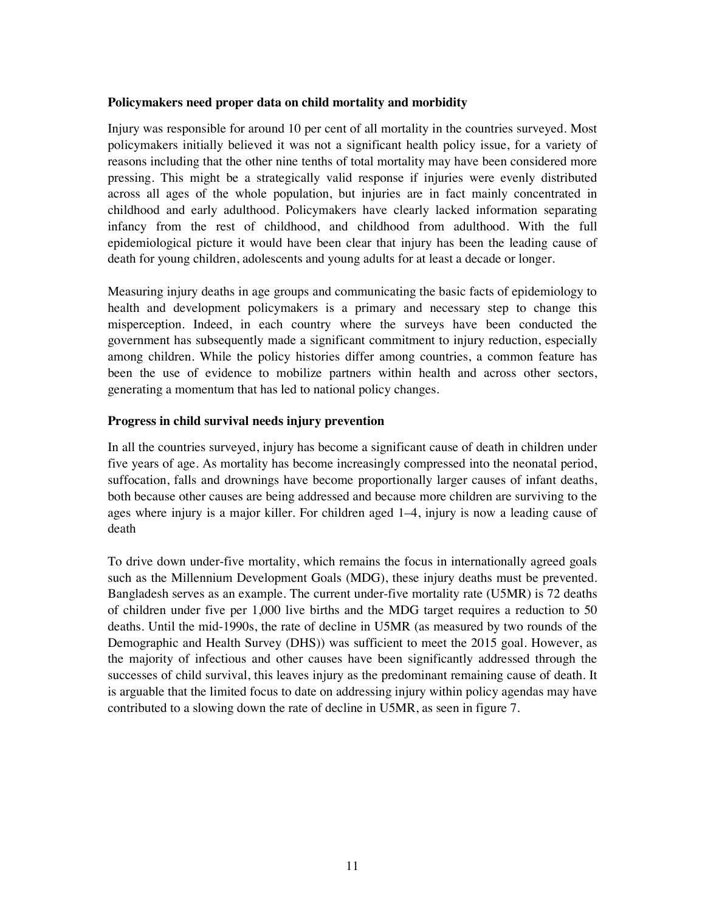#### **Policymakers need proper data on child mortality and morbidity**

Injury was responsible for around 10 per cent of all mortality in the countries surveyed. Most policymakers initially believed it was not a significant health policy issue, for a variety of reasons including that the other nine tenths of total mortality may have been considered more pressing. This might be a strategically valid response if injuries were evenly distributed across all ages of the whole population, but injuries are in fact mainly concentrated in childhood and early adulthood. Policymakers have clearly lacked information separating infancy from the rest of childhood, and childhood from adulthood. With the full epidemiological picture it would have been clear that injury has been the leading cause of death for young children, adolescents and young adults for at least a decade or longer.

Measuring injury deaths in age groups and communicating the basic facts of epidemiology to health and development policymakers is a primary and necessary step to change this misperception. Indeed, in each country where the surveys have been conducted the government has subsequently made a significant commitment to injury reduction, especially among children. While the policy histories differ among countries, a common feature has been the use of evidence to mobilize partners within health and across other sectors, generating a momentum that has led to national policy changes.

#### **Progress in child survival needs injury prevention**

In all the countries surveyed, injury has become a significant cause of death in children under five years of age. As mortality has become increasingly compressed into the neonatal period, suffocation, falls and drownings have become proportionally larger causes of infant deaths, both because other causes are being addressed and because more children are surviving to the ages where injury is a major killer. For children aged 1–4, injury is now a leading cause of death

To drive down under-five mortality, which remains the focus in internationally agreed goals such as the Millennium Development Goals (MDG), these injury deaths must be prevented. Bangladesh serves as an example. The current under-five mortality rate (U5MR) is 72 deaths of children under five per 1,000 live births and the MDG target requires a reduction to 50 deaths. Until the mid-1990s, the rate of decline in U5MR (as measured by two rounds of the Demographic and Health Survey (DHS)) was sufficient to meet the 2015 goal. However, as the majority of infectious and other causes have been significantly addressed through the successes of child survival, this leaves injury as the predominant remaining cause of death. It is arguable that the limited focus to date on addressing injury within policy agendas may have contributed to a slowing down the rate of decline in U5MR, as seen in figure 7.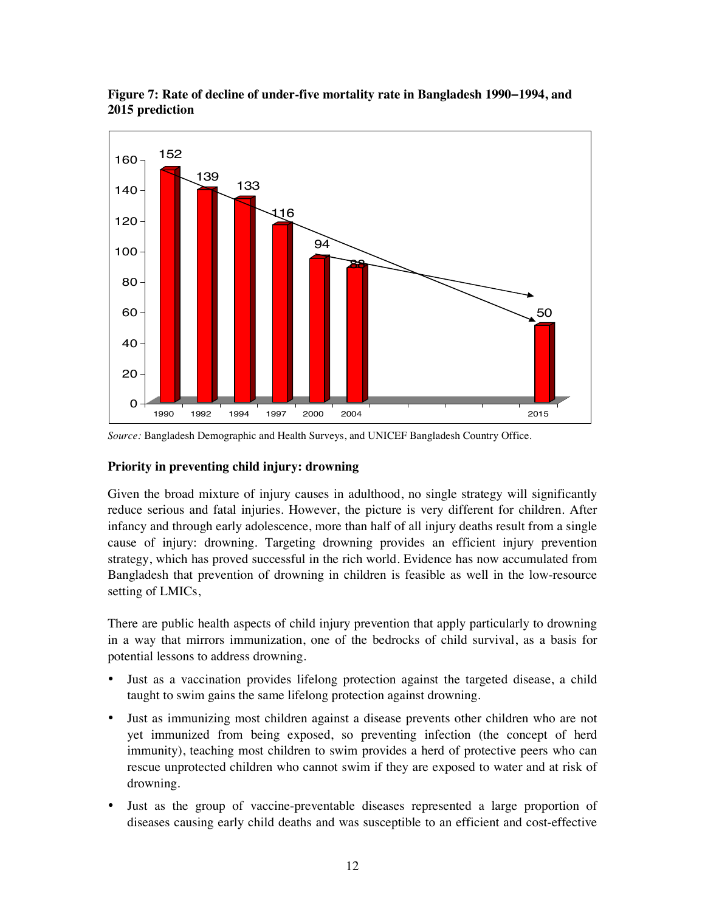

**Figure 7: Rate of decline of under-five mortality rate in Bangladesh 1990−1994, and 2015 prediction** 

#### **Priority in preventing child injury: drowning**

Given the broad mixture of injury causes in adulthood, no single strategy will significantly reduce serious and fatal injuries. However, the picture is very different for children. After infancy and through early adolescence, more than half of all injury deaths result from a single cause of injury: drowning. Targeting drowning provides an efficient injury prevention strategy, which has proved successful in the rich world. Evidence has now accumulated from Bangladesh that prevention of drowning in children is feasible as well in the low-resource setting of LMICs,

There are public health aspects of child injury prevention that apply particularly to drowning in a way that mirrors immunization, one of the bedrocks of child survival, as a basis for potential lessons to address drowning.

- Just as a vaccination provides lifelong protection against the targeted disease, a child taught to swim gains the same lifelong protection against drowning.
- Just as immunizing most children against a disease prevents other children who are not yet immunized from being exposed, so preventing infection (the concept of herd immunity), teaching most children to swim provides a herd of protective peers who can rescue unprotected children who cannot swim if they are exposed to water and at risk of drowning.
- Just as the group of vaccine-preventable diseases represented a large proportion of diseases causing early child deaths and was susceptible to an efficient and cost-effective

*Source:* Bangladesh Demographic and Health Surveys, and UNICEF Bangladesh Country Office.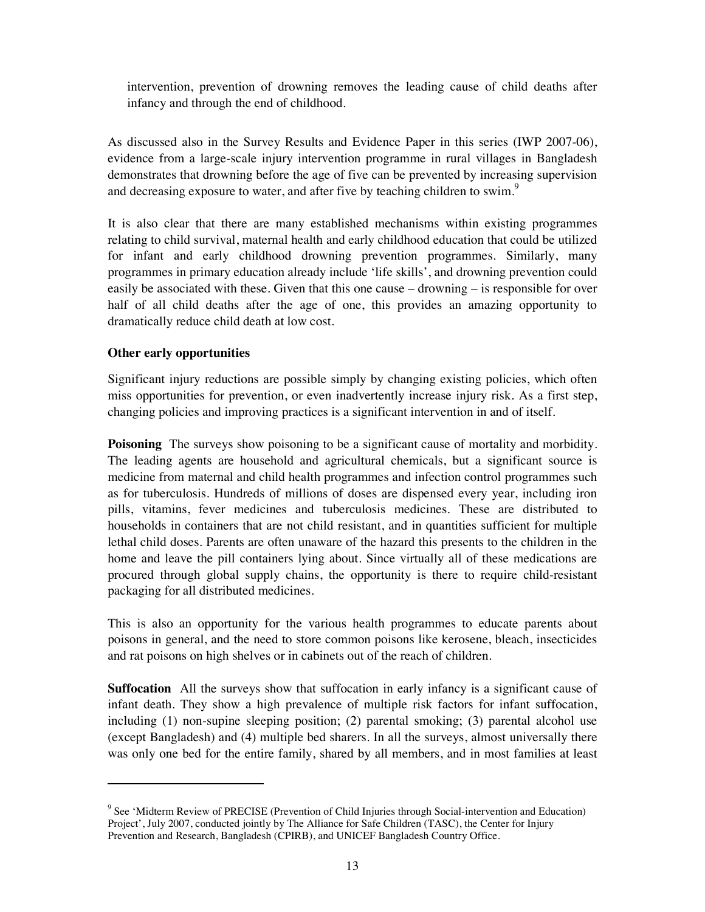intervention, prevention of drowning removes the leading cause of child deaths after infancy and through the end of childhood.

As discussed also in the Survey Results and Evidence Paper in this series (IWP 2007-06), evidence from a large-scale injury intervention programme in rural villages in Bangladesh demonstrates that drowning before the age of five can be prevented by increasing supervision and decreasing exposure to water, and after five by teaching children to swim.<sup>9</sup>

It is also clear that there are many established mechanisms within existing programmes relating to child survival, maternal health and early childhood education that could be utilized for infant and early childhood drowning prevention programmes. Similarly, many programmes in primary education already include 'life skills', and drowning prevention could easily be associated with these. Given that this one cause – drowning – is responsible for over half of all child deaths after the age of one, this provides an amazing opportunity to dramatically reduce child death at low cost.

### **Other early opportunities**

 $\overline{a}$ 

Significant injury reductions are possible simply by changing existing policies, which often miss opportunities for prevention, or even inadvertently increase injury risk. As a first step, changing policies and improving practices is a significant intervention in and of itself.

**Poisoning** The surveys show poisoning to be a significant cause of mortality and morbidity. The leading agents are household and agricultural chemicals, but a significant source is medicine from maternal and child health programmes and infection control programmes such as for tuberculosis. Hundreds of millions of doses are dispensed every year, including iron pills, vitamins, fever medicines and tuberculosis medicines. These are distributed to households in containers that are not child resistant, and in quantities sufficient for multiple lethal child doses. Parents are often unaware of the hazard this presents to the children in the home and leave the pill containers lying about. Since virtually all of these medications are procured through global supply chains, the opportunity is there to require child-resistant packaging for all distributed medicines.

This is also an opportunity for the various health programmes to educate parents about poisons in general, and the need to store common poisons like kerosene, bleach, insecticides and rat poisons on high shelves or in cabinets out of the reach of children.

**Suffocation** All the surveys show that suffocation in early infancy is a significant cause of infant death. They show a high prevalence of multiple risk factors for infant suffocation, including (1) non-supine sleeping position; (2) parental smoking; (3) parental alcohol use (except Bangladesh) and (4) multiple bed sharers. In all the surveys, almost universally there was only one bed for the entire family, shared by all members, and in most families at least

<sup>&</sup>lt;sup>9</sup> See 'Midterm Review of PRECISE (Prevention of Child Injuries through Social-intervention and Education) Project', July 2007, conducted jointly by The Alliance for Safe Children (TASC), the Center for Injury Prevention and Research, Bangladesh (CPIRB), and UNICEF Bangladesh Country Office.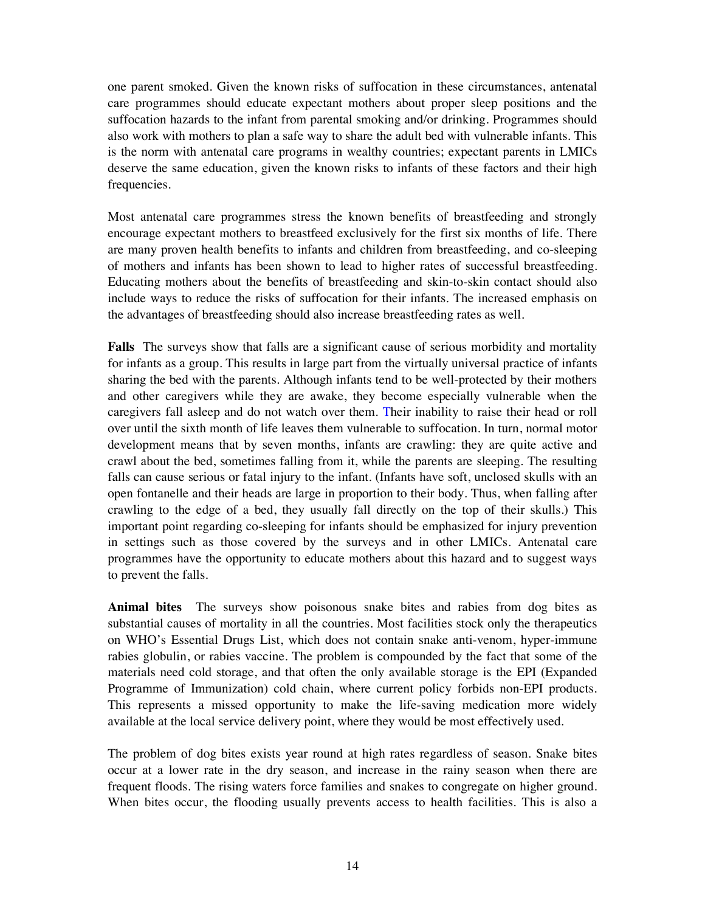one parent smoked. Given the known risks of suffocation in these circumstances, antenatal care programmes should educate expectant mothers about proper sleep positions and the suffocation hazards to the infant from parental smoking and/or drinking. Programmes should also work with mothers to plan a safe way to share the adult bed with vulnerable infants. This is the norm with antenatal care programs in wealthy countries; expectant parents in LMICs deserve the same education, given the known risks to infants of these factors and their high frequencies.

Most antenatal care programmes stress the known benefits of breastfeeding and strongly encourage expectant mothers to breastfeed exclusively for the first six months of life. There are many proven health benefits to infants and children from breastfeeding, and co-sleeping of mothers and infants has been shown to lead to higher rates of successful breastfeeding. Educating mothers about the benefits of breastfeeding and skin-to-skin contact should also include ways to reduce the risks of suffocation for their infants. The increased emphasis on the advantages of breastfeeding should also increase breastfeeding rates as well.

**Falls** The surveys show that falls are a significant cause of serious morbidity and mortality for infants as a group. This results in large part from the virtually universal practice of infants sharing the bed with the parents. Although infants tend to be well-protected by their mothers and other caregivers while they are awake, they become especially vulnerable when the caregivers fall asleep and do not watch over them. Their inability to raise their head or roll over until the sixth month of life leaves them vulnerable to suffocation. In turn, normal motor development means that by seven months, infants are crawling: they are quite active and crawl about the bed, sometimes falling from it, while the parents are sleeping. The resulting falls can cause serious or fatal injury to the infant. (Infants have soft, unclosed skulls with an open fontanelle and their heads are large in proportion to their body. Thus, when falling after crawling to the edge of a bed, they usually fall directly on the top of their skulls.) This important point regarding co-sleeping for infants should be emphasized for injury prevention in settings such as those covered by the surveys and in other LMICs. Antenatal care programmes have the opportunity to educate mothers about this hazard and to suggest ways to prevent the falls.

**Animal bites** The surveys show poisonous snake bites and rabies from dog bites as substantial causes of mortality in all the countries. Most facilities stock only the therapeutics on WHO's Essential Drugs List, which does not contain snake anti-venom, hyper-immune rabies globulin, or rabies vaccine. The problem is compounded by the fact that some of the materials need cold storage, and that often the only available storage is the EPI (Expanded Programme of Immunization) cold chain, where current policy forbids non-EPI products. This represents a missed opportunity to make the life-saving medication more widely available at the local service delivery point, where they would be most effectively used.

The problem of dog bites exists year round at high rates regardless of season. Snake bites occur at a lower rate in the dry season, and increase in the rainy season when there are frequent floods. The rising waters force families and snakes to congregate on higher ground. When bites occur, the flooding usually prevents access to health facilities. This is also a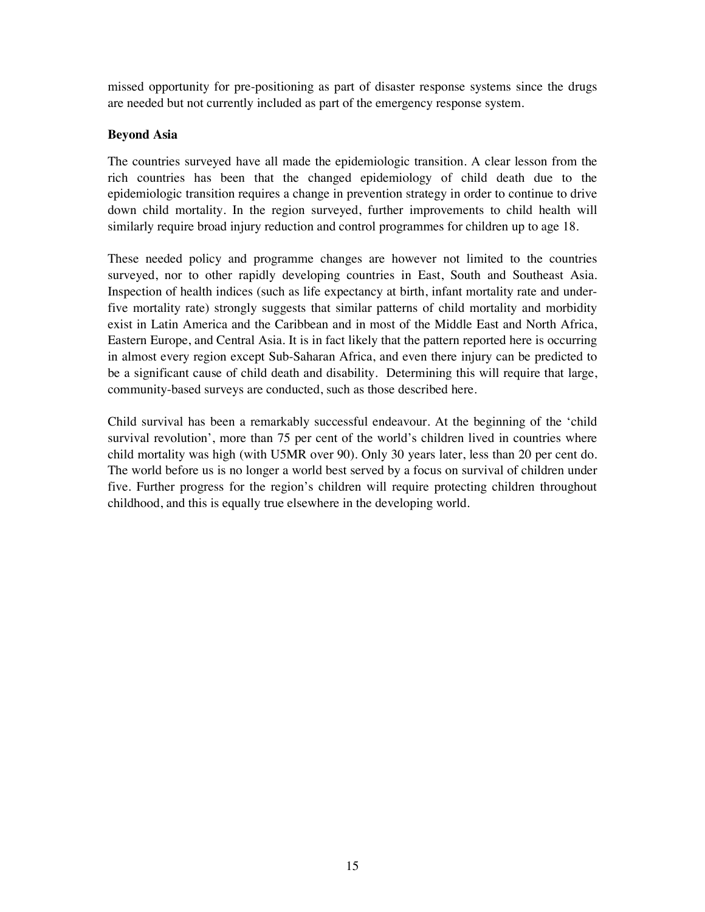missed opportunity for pre-positioning as part of disaster response systems since the drugs are needed but not currently included as part of the emergency response system.

### **Beyond Asia**

The countries surveyed have all made the epidemiologic transition. A clear lesson from the rich countries has been that the changed epidemiology of child death due to the epidemiologic transition requires a change in prevention strategy in order to continue to drive down child mortality. In the region surveyed, further improvements to child health will similarly require broad injury reduction and control programmes for children up to age 18.

These needed policy and programme changes are however not limited to the countries surveyed, nor to other rapidly developing countries in East, South and Southeast Asia. Inspection of health indices (such as life expectancy at birth, infant mortality rate and underfive mortality rate) strongly suggests that similar patterns of child mortality and morbidity exist in Latin America and the Caribbean and in most of the Middle East and North Africa, Eastern Europe, and Central Asia. It is in fact likely that the pattern reported here is occurring in almost every region except Sub-Saharan Africa, and even there injury can be predicted to be a significant cause of child death and disability. Determining this will require that large, community-based surveys are conducted, such as those described here.

Child survival has been a remarkably successful endeavour. At the beginning of the 'child survival revolution', more than 75 per cent of the world's children lived in countries where child mortality was high (with U5MR over 90). Only 30 years later, less than 20 per cent do. The world before us is no longer a world best served by a focus on survival of children under five. Further progress for the region's children will require protecting children throughout childhood, and this is equally true elsewhere in the developing world.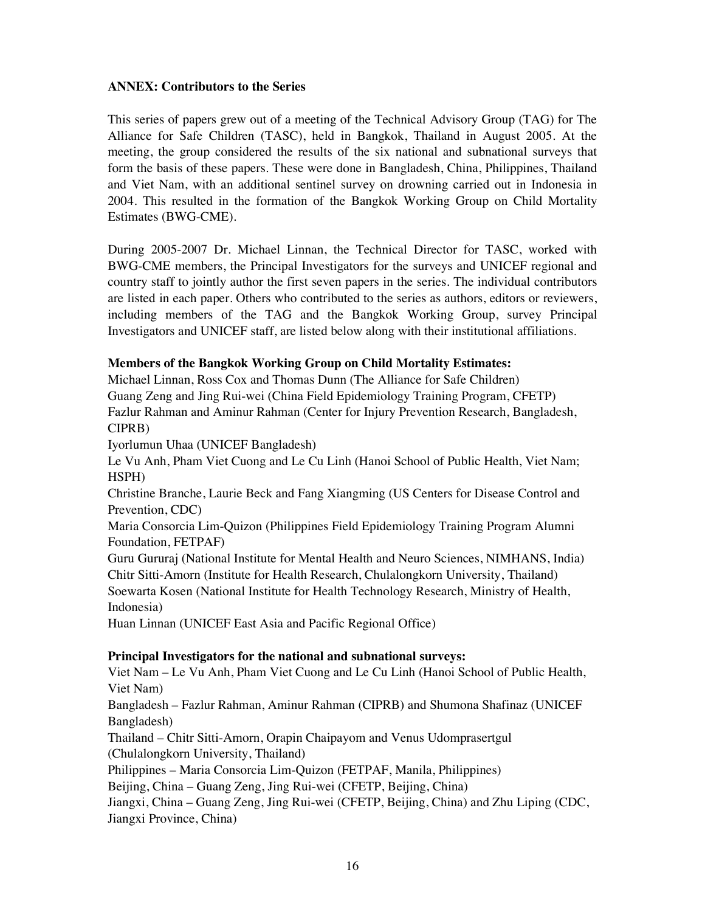### **ANNEX: Contributors to the Series**

This series of papers grew out of a meeting of the Technical Advisory Group (TAG) for The Alliance for Safe Children (TASC), held in Bangkok, Thailand in August 2005. At the meeting, the group considered the results of the six national and subnational surveys that form the basis of these papers. These were done in Bangladesh, China, Philippines, Thailand and Viet Nam, with an additional sentinel survey on drowning carried out in Indonesia in 2004. This resulted in the formation of the Bangkok Working Group on Child Mortality Estimates (BWG-CME).

During 2005-2007 Dr. Michael Linnan, the Technical Director for TASC, worked with BWG-CME members, the Principal Investigators for the surveys and UNICEF regional and country staff to jointly author the first seven papers in the series. The individual contributors are listed in each paper. Others who contributed to the series as authors, editors or reviewers, including members of the TAG and the Bangkok Working Group, survey Principal Investigators and UNICEF staff, are listed below along with their institutional affiliations.

### **Members of the Bangkok Working Group on Child Mortality Estimates:**

Michael Linnan, Ross Cox and Thomas Dunn (The Alliance for Safe Children) Guang Zeng and Jing Rui-wei (China Field Epidemiology Training Program, CFETP) Fazlur Rahman and Aminur Rahman (Center for Injury Prevention Research, Bangladesh, CIPRB)

Iyorlumun Uhaa (UNICEF Bangladesh)

Le Vu Anh, Pham Viet Cuong and Le Cu Linh (Hanoi School of Public Health, Viet Nam; HSPH)

Christine Branche, Laurie Beck and Fang Xiangming (US Centers for Disease Control and Prevention, CDC)

Maria Consorcia Lim-Quizon (Philippines Field Epidemiology Training Program Alumni Foundation, FETPAF)

Guru Gururaj (National Institute for Mental Health and Neuro Sciences, NIMHANS, India) Chitr Sitti-Amorn (Institute for Health Research, Chulalongkorn University, Thailand) Soewarta Kosen (National Institute for Health Technology Research, Ministry of Health, Indonesia)

Huan Linnan (UNICEF East Asia and Pacific Regional Office)

### **Principal Investigators for the national and subnational surveys:**

Viet Nam – Le Vu Anh, Pham Viet Cuong and Le Cu Linh (Hanoi School of Public Health, Viet Nam)

Bangladesh – Fazlur Rahman, Aminur Rahman (CIPRB) and Shumona Shafinaz (UNICEF Bangladesh)

Thailand – Chitr Sitti-Amorn, Orapin Chaipayom and Venus Udomprasertgul (Chulalongkorn University, Thailand)

Philippines – Maria Consorcia Lim-Quizon (FETPAF, Manila, Philippines)

Beijing, China – Guang Zeng, Jing Rui-wei (CFETP, Beijing, China)

Jiangxi, China – Guang Zeng, Jing Rui-wei (CFETP, Beijing, China) and Zhu Liping (CDC, Jiangxi Province, China)